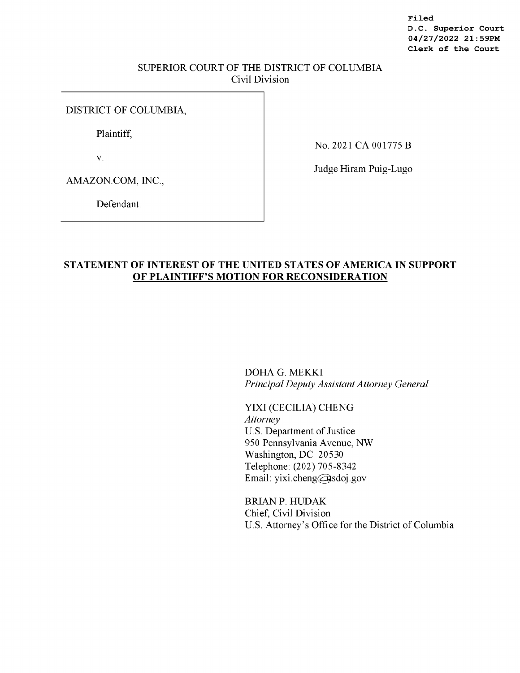**Filed D.C. Superior Court 04/27/2022 21:59PM Clerk of the Court** 

### SUPERIOR COURT OF THE DISTRICT OF COLUMBIA Civil Division

### DISTRICT OF COLUMBIA,

Plaintiff,

V.

No. 2021 CA 001775 B

AMAZON.COM, INC.,

Judge Hiram Puig-Lugo

Defendant.

## **STATEMENT OF INTEREST OF THE UNITED STATES OF AMERICA IN SUPPORT OF PLAINTIFF'S MOTION FOR RECONSIDERATION**

DOHA G. MEKKI *Principal Deputy Assistant Attorney General* 

YIXI (CECILIA) CHENG *Attorney*  U.S. Department of Justice 950 Pennsylvania Avenue, NW Washington, DC 20530 Telephone: (202) 705-8342 Email: yixi .cheng@sdoj.gov

BRIANP. HUDAK Chief, Civil Division U.S. Attorney's Office for the District of Columbia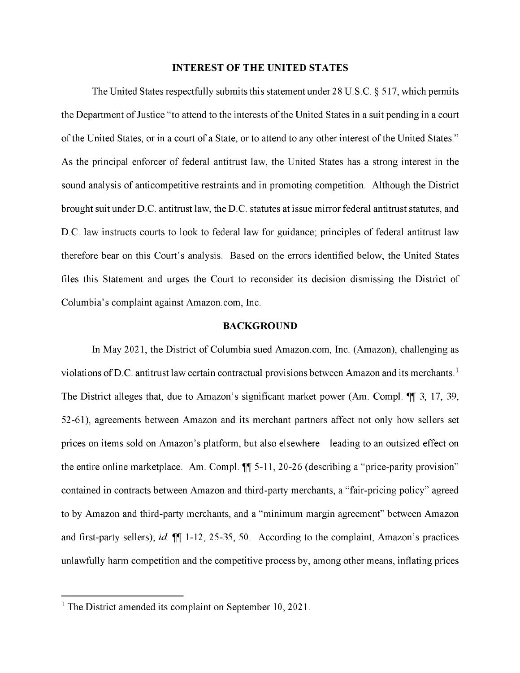### **INTEREST OF THE UNITED STATES**

The United States respectfully submits this statement under 28 U.S.C. § 517, which permits the Department of Justice "to attend to the interests of the United States in a suit pending in a court of the United States, or in a court of a State, or to attend to any other interest of the United States." As the principal enforcer of federal antitrust law, the United States has a strong interest in the sound analysis of anticompetitive restraints and in promoting competition. Although the District brought suit under D.C. antitrust law, the D.C. statutes at issue mirror federal antitrust statutes, and **D.C.** law instructs courts to look to federal law for guidance; principles of federal antitrust law therefore bear on this Court's analysis. Based on the errors identified below, the United States files this Statement and urges the Court to reconsider its decision dismissing the District of Columbia's complaint against Amazon.com, Inc.

### **BACKGROUND**

In May 2021, the District of Columbia sued Amazon.com, Inc. (Amazon), challenging as violations of D.C. antitrust law certain contractual provisions between Amazon and its merchants.<sup>1</sup> The District alleges that, due to Amazon's significant market power (Am. Compl. 11, 3, 17, 39, 52-61), agreements between Amazon and its merchant partners affect not only how sellers set prices on items sold on Amazon's platform, but also elsewhere—leading to an outsized effect on the entire online marketplace. Am. Compl.  $\P$  5-11, 20-26 (describing a "price-parity provision" contained in contracts between Amazon and third-party merchants, a "fair-pricing policy" agreed to by Amazon and third-party merchants, and a "minimum margin agreement" between Amazon and first-party sellers); *id.*  $\P$ [1-12, 25-35, 50. According to the complaint, Amazon's practices unlawfully harm competition and the competitive process by, among other means, inflating prices

<sup>&</sup>lt;sup>1</sup> The District amended its complaint on September 10, 2021.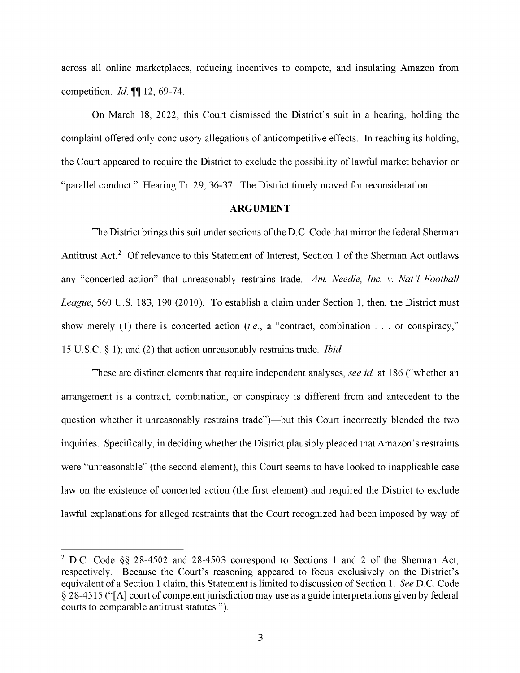across all online marketplaces, reducing incentives to compete, and insulating Amazon from competition. *Id.*  $\P\P$  12, 69-74.

On March 18, 2022, this Court dismissed the District's suit in a hearing, holding the complaint offered only conclusory allegations of anticompetitive effects. In reaching its holding, the Court appeared to require the District to exclude the possibility of lawful market behavior or "parallel conduct." Hearing Tr. 29, 36-37. The District timely moved for reconsideration.

#### **ARGUMENT**

The District brings this suit under sections of the D.C. Code that mirror the federal Sherman Antitrust Act.<sup>2</sup> Of relevance to this Statement of Interest, Section 1 of the Sherman Act outlaws any "concerted action" that unreasonably restrains trade. *Am. Needle, Inc. v. Nat 'l Football League,* 560 U.S. 183, 190 (2010). To establish a claim under Section 1, then, the District must show merely (1) there is concerted action *(i.e., a* "contract, combination ... or conspiracy," 15 U.S.C. § l); and (2) that action unreasonably restrains trade. *Ibid.* 

These are distinct elements that require independent analyses, *see id* at 186 ("whether an arrangement is a contract, combination, or conspiracy is different from and antecedent to the question whether it unreasonably restrains trade")—but this Court incorrectly blended the two inquiries. Specifically, in deciding whether the District plausibly pleaded that Amazon's restraints were "unreasonable" (the second element), this Court seems to have looked to inapplicable case law on the existence of concerted action (the first element) and required the District to exclude lawful explanations for alleged restraints that the Court recognized had been imposed by way of

<sup>2</sup>**D.C.** Code §§ 28-4502 and 28-4503 correspond to Sections 1 and 2 of the Sherman Act, respectively. Because the Court's reasoning appeared to focus exclusively on the District's equivalent of a Section 1 claim, this Statement is limited to discussion of Section 1. *See* **D.C.** Code § 28-4515 ("[A] court of competent jurisdiction may use as a guide interpretations given by federal courts to comparable antitrust statutes.").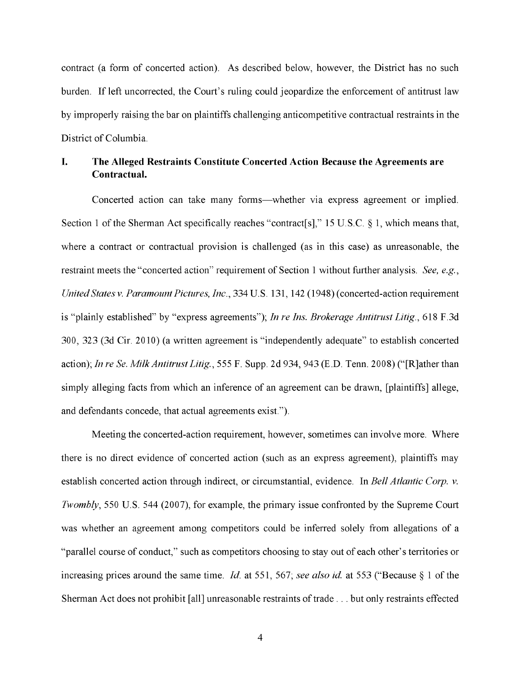contract (a form of concerted action). As described below, however, the District has no such burden. If left uncorrected, the Court's ruling could jeopardize the enforcement of antitrust law by improperly raising the bar on plaintiffs challenging anticompetitive contractual restraints in the District of Columbia.

# **I. The Alleged Restraints Constitute Concerted Action Because the Agreements are Contractual.**

Concerted action can take many forms-whether via express agreement or implied. Section **1** of the Sherman Act specifically reaches "contract[s]," 15 U.S.C. § **1,** which means that, where a contract or contractual provision is challenged (as in this case) as unreasonable, the restraint meets the "concerted action" requirement of Section **1** without further analysis. *See, e.g., United States v. Paramount Pictures, Inc.,* 334 U.S. 131, 142 (1948) (concerted-action requirement is "plainly established" by "express agreements"); *In re Ins. Brokerage Antitrust Litig.,* 618 F.3d 300, 323 (3d Cir. 2010) (a written agreement is "independently adequate" to establish concerted action); *In re Se. Milk Antitrust Litig.,* 555 F. Supp. 2d 934, 943 (E.D. Tenn. 2008) ("[R]ather than simply alleging facts from which an inference of an agreement can be drawn, [plaintiffs] allege, and defendants concede, that actual agreements exist.").

Meeting the concerted-action requirement, however, sometimes can involve more. Where there is no direct evidence of concerted action (such as an express agreement), plaintiffs may establish concerted action through indirect, or circumstantial, evidence. In *Bell Atlantic Corp. v. Twombly,* 550 U.S. 544 (2007), for example, the primary issue confronted by the Supreme Court was whether an agreement among competitors could be inferred solely from allegations of a "parallel course of conduct," such as competitors choosing to stay out of each other's territories or increasing prices around the same time. *Id.* at 551, 567; *see also id* at 553 ("Because§ **1** of the Sherman Act does not prohibit [all] unreasonable restraints of trade ... but only restraints effected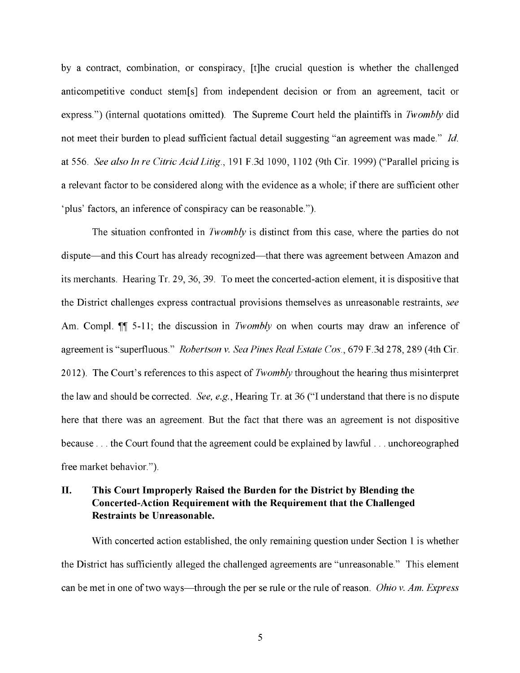by a contract, combination, or conspiracy, [t]he crucial question is whether the challenged anticompetitive conduct stem[s] from independent decision or from an agreement, tacit or express.") (internal quotations omitted). The Supreme Court held the plaintiffs in *Twombly* did not meet their burden to plead sufficient factual detail suggesting "an agreement was made." *Id.*  at 556. *See also In re Citric Acid Litig.,* 191 F.3d 1090, 1102 (9th Cir. 1999) ("Parallel pricing is a relevant factor to be considered along with the evidence as a whole; if there are sufficient other 'plus' factors, an inference of conspiracy can be reasonable.").

The situation confronted in *Twombly* is distinct from this case, where the parties do not dispute—and this Court has already recognized—that there was agreement between Amazon and its merchants. Hearing Tr. 29, 36, 39. To meet the concerted-action element, it is dispositive that the District challenges express contractual provisions themselves as unreasonable restraints, *see*  Am. Compl.  $\P$  5-11; the discussion in *Twombly* on when courts may draw an inference of agreement is "superfluous." *Robertson v. Sea Pines Real Estate Cos.,* 679 F.3d 278,289 (4th Cir. 2012). The Court's references to this aspect of *Twombly* throughout the hearing thus misinterpret the law and should be corrected. *See, e.g.,* Hearing Tr. at 36 ("I understand that there is no dispute here that there was an agreement. But the fact that there was an agreement is not dispositive because ... the Court found that the agreement could be explained by lawful ... unchoreographed free market behavior.").

## **II. This Court Improperly Raised the Burden for the District by Blending the Concerted-Action Requirement with the Requirement that the Challenged Restraints be Unreasonable.**

With concerted action established, the only remaining question under Section 1 is whether the District has sufficiently alleged the challenged agreements are "unreasonable." This element can be met in one of two ways-through the per se rule or the rule of reason. *Ohio v. Am. Express*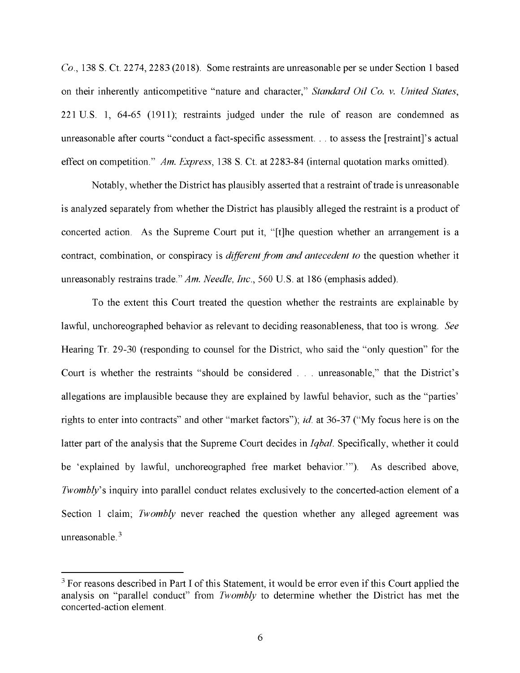*Co.,* 138 S. Ct. 2274, 2283(2018). Some restraints are unreasonable per se under Section **1** based on their inherently anticompetitive "nature and character," *Standard Oil Co. v. United States,*  221 U.S. **1,** 64-65 (1911); restraints judged under the rule of reason are condemned as unreasonable after courts "conduct a fact-specific assessment. .. to assess the [restraint]'s actual effect on competition." *Am. Express,* 138 S. Ct. at 2283-84 (internal quotation marks omitted).

Notably, whether the District has plausibly asserted that a restraint of trade is unreasonable is analyzed separately from whether the District has plausibly alleged the restraint is a product of concerted action. As the Supreme Court put it, "[t]he question whether an arrangement is a contract, combination, or conspiracy is *different from and antecedent to* the question whether it unreasonably restrains trade." *Am. Needle, Inc.,* 560 U.S. at 186 (emphasis added).

To the extent this Court treated the question whether the restraints are explainable by lawful, unchoreographed behavior as relevant to deciding reasonableness, that too is wrong. *See*  Hearing Tr. 29-30 (responding to counsel for the District, who said the "only question" for the Court is whether the restraints "should be considered ... unreasonable," that the District's allegations are implausible because they are explained by lawful behavior, such as the "parties' rights to enter into contracts" and other "market factors"); *id.* at 36-37 ("My focus here is on the latter part of the analysis that the Supreme Court decides in *Iqbal.* Specifically, whether it could be 'explained by lawful, unchoreographed free market behavior."'). As described above, *Twombly's* inquiry into parallel conduct relates exclusively to the concerted-action element of a Section **1** claim; *Twombly* never reached the question whether any alleged agreement was unreasonable. $3$ 

 $3$  For reasons described in Part I of this Statement, it would be error even if this Court applied the analysis on "parallel conduct" from *Twombly* to determine whether the District has met the concerted-action element.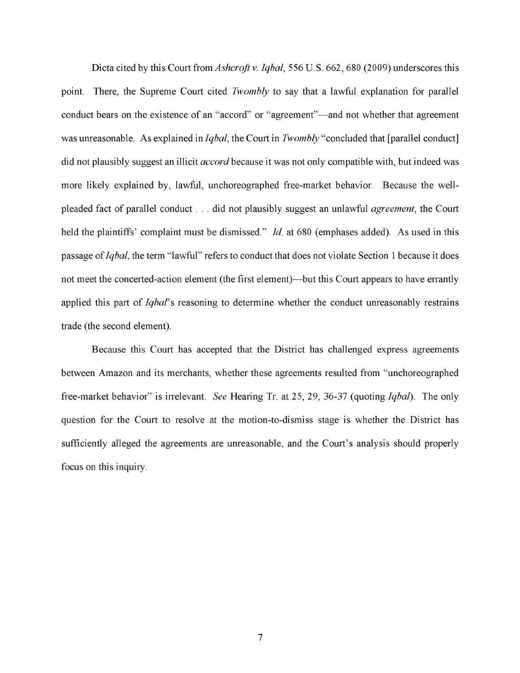Dicta cited by this Court from *Ashcroft v. Iqbal,* 556 U.S. 662, 680 (2009) underscores this point. There, the Supreme Court cited *Twombly* to say that a lawful explanation for parallel conduct bears on the existence of an "accord" or "agreement"—and not whether that agreement was unreasonable. As explained in *Iqbal,* the Court in *Twombly* "concluded that [parallel conduct] did not plausibly suggest an illicit *accord* because it was not only compatible with, but indeed was more likely explained by, lawful, unchoreographed free-market behavior. Because the wellpleaded fact of parallel conduct ... did not plausibly suggest an unlawful *agreement,* the Court held the plaintiffs' complaint must be dismissed." *Id.* at 680 (emphases added). As used in this passage of *Iqbal,* the term "lawful" refers to conduct that does not violate Section I because it does not meet the concerted-action element (the first element)—but this Court appears to have errantly applied this part of *Iqbal's* reasoning to determine whether the conduct unreasonably restrains trade (the second element).

Because this Court has accepted that the District has challenged express agreements between Amazon and its merchants, whether these agreements resulted from "unchoreographed free-market behavior" is irrelevant. *See* Hearing Tr. at 25, 29, 36-37 (quoting *Iqbal).* The only question for the Court to resolve at the motion-to-dismiss stage is whether the District has sufficiently alleged the agreements are unreasonable, and the Court's analysis should properly focus on this inquiry.